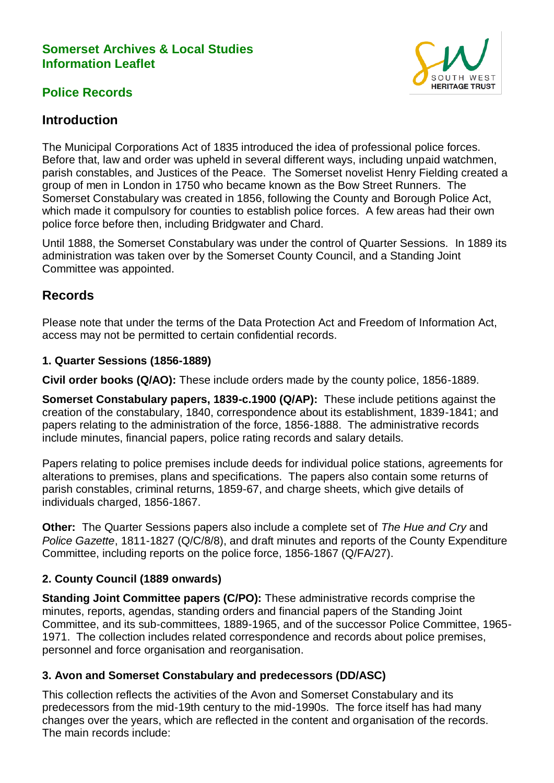### **Somerset Archives & Local Studies Information Leaflet**



# **Police Records**

# **Introduction**

The Municipal Corporations Act of 1835 introduced the idea of professional police forces. Before that, law and order was upheld in several different ways, including unpaid watchmen, parish constables, and Justices of the Peace. The Somerset novelist Henry Fielding created a group of men in London in 1750 who became known as the Bow Street Runners. The Somerset Constabulary was created in 1856, following the County and Borough Police Act, which made it compulsory for counties to establish police forces. A few areas had their own police force before then, including Bridgwater and Chard.

Until 1888, the Somerset Constabulary was under the control of Quarter Sessions. In 1889 its administration was taken over by the Somerset County Council, and a Standing Joint Committee was appointed.

## **Records**

Please note that under the terms of the Data Protection Act and Freedom of Information Act, access may not be permitted to certain confidential records.

#### **1. Quarter Sessions (1856-1889)**

**Civil order books (Q/AO):** These include orders made by the county police, 1856-1889.

**Somerset Constabulary papers, 1839-c.1900 (Q/AP):** These include petitions against the creation of the constabulary, 1840, correspondence about its establishment, 1839-1841; and papers relating to the administration of the force, 1856-1888. The administrative records include minutes, financial papers, police rating records and salary details.

Papers relating to police premises include deeds for individual police stations, agreements for alterations to premises, plans and specifications. The papers also contain some returns of parish constables, criminal returns, 1859-67, and charge sheets, which give details of individuals charged, 1856-1867.

**Other:** The Quarter Sessions papers also include a complete set of *The Hue and Cry* and *Police Gazette*, 1811-1827 (Q/C/8/8), and draft minutes and reports of the County Expenditure Committee, including reports on the police force, 1856-1867 (Q/FA/27).

### **2. County Council (1889 onwards)**

**Standing Joint Committee papers (C/PO):** These administrative records comprise the minutes, reports, agendas, standing orders and financial papers of the Standing Joint Committee, and its sub-committees, 1889-1965, and of the successor Police Committee, 1965- 1971. The collection includes related correspondence and records about police premises, personnel and force organisation and reorganisation.

#### **3. Avon and Somerset Constabulary and predecessors (DD/ASC)**

This collection reflects the activities of the Avon and Somerset Constabulary and its predecessors from the mid-19th century to the mid-1990s. The force itself has had many changes over the years, which are reflected in the content and organisation of the records. The main records include: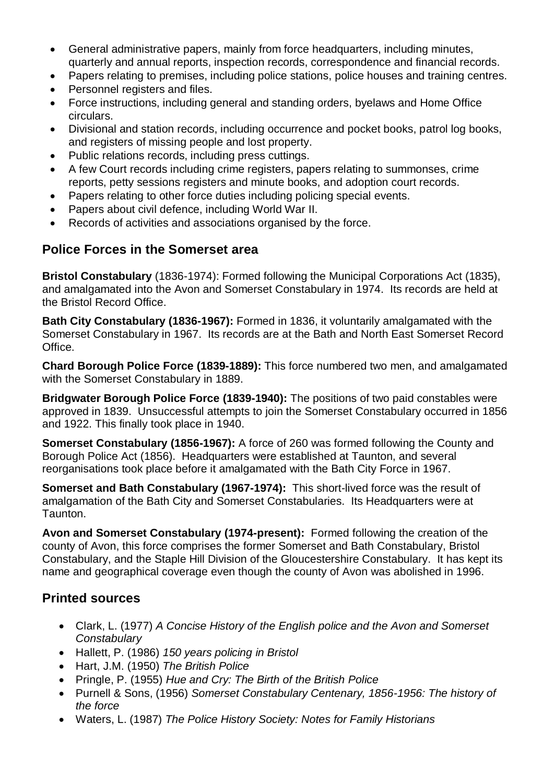- General administrative papers, mainly from force headquarters, including minutes, quarterly and annual reports, inspection records, correspondence and financial records.
- Papers relating to premises, including police stations, police houses and training centres.
- Personnel registers and files.
- Force instructions, including general and standing orders, byelaws and Home Office circulars.
- Divisional and station records, including occurrence and pocket books, patrol log books, and registers of missing people and lost property.
- Public relations records, including press cuttings.
- A few Court records including crime registers, papers relating to summonses, crime reports, petty sessions registers and minute books, and adoption court records.
- Papers relating to other force duties including policing special events.
- Papers about civil defence, including World War II.
- Records of activities and associations organised by the force.

# **Police Forces in the Somerset area**

**Bristol Constabulary** (1836-1974): Formed following the Municipal Corporations Act (1835), and amalgamated into the Avon and Somerset Constabulary in 1974. Its records are held at the Bristol Record Office.

**Bath City Constabulary (1836-1967):** Formed in 1836, it voluntarily amalgamated with the Somerset Constabulary in 1967. Its records are at the Bath and North East Somerset Record Office.

**Chard Borough Police Force (1839-1889):** This force numbered two men, and amalgamated with the Somerset Constabulary in 1889.

**Bridgwater Borough Police Force (1839-1940):** The positions of two paid constables were approved in 1839. Unsuccessful attempts to join the Somerset Constabulary occurred in 1856 and 1922. This finally took place in 1940.

**Somerset Constabulary (1856-1967):** A force of 260 was formed following the County and Borough Police Act (1856). Headquarters were established at Taunton, and several reorganisations took place before it amalgamated with the Bath City Force in 1967.

**Somerset and Bath Constabulary (1967-1974):** This short-lived force was the result of amalgamation of the Bath City and Somerset Constabularies. Its Headquarters were at Taunton.

**Avon and Somerset Constabulary (1974-present):** Formed following the creation of the county of Avon, this force comprises the former Somerset and Bath Constabulary, Bristol Constabulary, and the Staple Hill Division of the Gloucestershire Constabulary. It has kept its name and geographical coverage even though the county of Avon was abolished in 1996.

# **Printed sources**

- Clark, L. (1977) *A Concise History of the English police and the Avon and Somerset Constabulary*
- Hallett, P. (1986) *150 years policing in Bristol*
- Hart, J.M. (1950) *The British Police*
- Pringle, P. (1955) *Hue and Cry: The Birth of the British Police*
- Purnell & Sons, (1956) *Somerset Constabulary Centenary, 1856-1956: The history of the force*
- Waters, L. (1987) *The Police History Society: Notes for Family Historians*